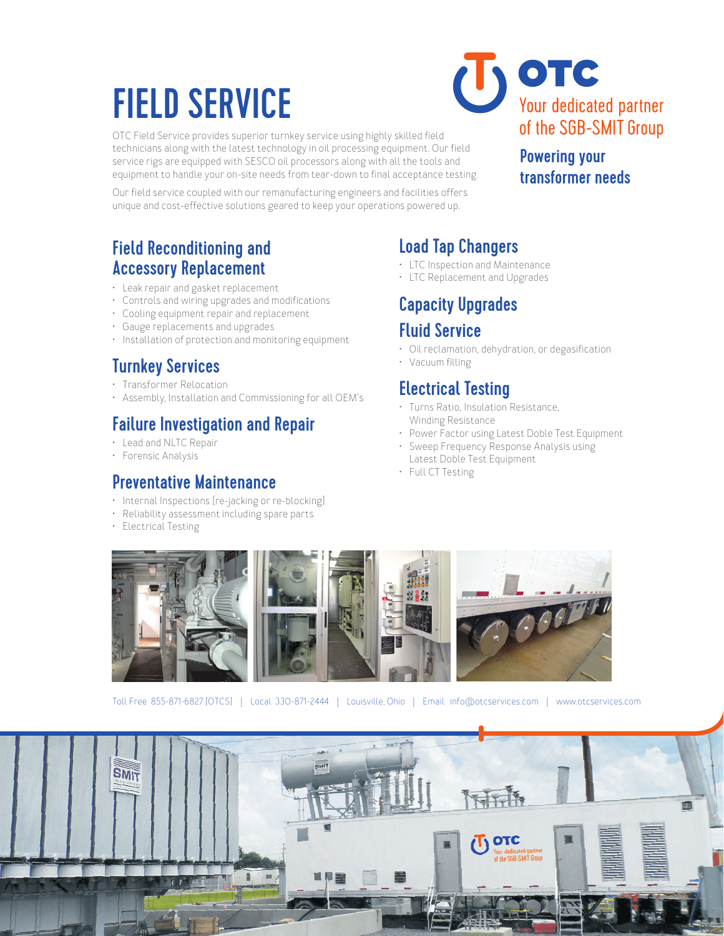# FIELD SERVICE

OTC Field Service provides superior turnkey service using highly skilled field technicians along with the latest technology in oil processing equipment. Our field service rigs are equipped with SESCO oil processors along with all the tools and equipment to handle your on-site needs from tear-down to final acceptance testing.

Our field service coupled with our remanufacturing engineers and facilities offers unique and cost-effective solutions geared to keep your operations powered up.



#### Powering your transformer needs

#### Field Reconditioning and Accessory Replacement

- Leak repair and gasket replacement
- Controls and wiring upgrades and modifications
- Cooling equipment repair and replacement
- Gauge replacements and upgrades
- Installation of protection and monitoring equipment

## Turnkey Services

- Transformer Relocation
- Assembly, Installation and Commissioning for all OEM's

#### Failure Investigation and Repair

- Lead and NLTC Repair
- Forensic Analysis

#### Preventative Maintenance

- Internal Inspections (re-jacking or re-blocking)
- Reliability assessment including spare parts
- Electrical Testing

# Load Tap Changers

- LTC Inspection and Maintenance
- LTC Replacement and Upgrades

## Capacity Upgrades Fluid Service

- Oil reclamation, dehydration, or degasification
- Vacuum filling

#### Electrical Testing

- Turns Ratio, Insulation Resistance, Winding Resistance
- Power Factor using Latest Doble Test Equipment
- Sweep Frequency Response Analysis using Latest Doble Test Equipment
- Full CT Testing



Toll Free 855-871-6827 (OTCS) | Local 330-871-2444 | Louisville, Ohio | Email info@otcservices.com | www.otcservices.com